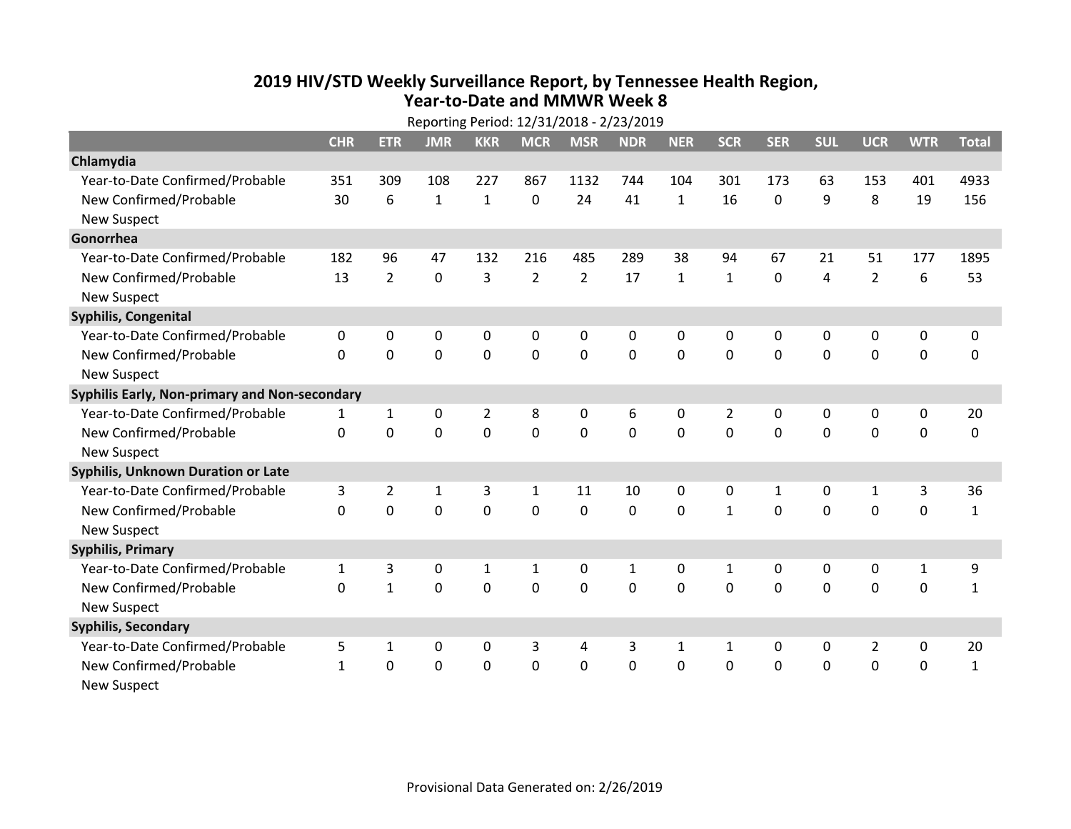## **2019 HIV /STD Weekly Surveillance Report, by Tennessee Health Region, Year‐to‐Date and MMWR Week 8**

| Reporting Period: 12/31/2018 - 2/23/2019      |              |                |              |              |                |                |                |              |              |              |              |                |              |              |
|-----------------------------------------------|--------------|----------------|--------------|--------------|----------------|----------------|----------------|--------------|--------------|--------------|--------------|----------------|--------------|--------------|
|                                               | <b>CHR</b>   | <b>ETR</b>     | <b>JMR</b>   | <b>KKR</b>   | <b>MCR</b>     | <b>MSR</b>     | <b>NDR</b>     | <b>NER</b>   | <b>SCR</b>   | <b>SER</b>   | <b>SUL</b>   | <b>UCR</b>     | <b>WTR</b>   | <b>Total</b> |
| Chlamydia                                     |              |                |              |              |                |                |                |              |              |              |              |                |              |              |
| Year-to-Date Confirmed/Probable               | 351          | 309            | 108          | 227          | 867            | 1132           | 744            | 104          | 301          | 173          | 63           | 153            | 401          | 4933         |
| New Confirmed/Probable                        | 30           | 6              | $\mathbf{1}$ | $\mathbf{1}$ | 0              | 24             | 41             | $\mathbf{1}$ | 16           | $\Omega$     | 9            | 8              | 19           | 156          |
| <b>New Suspect</b>                            |              |                |              |              |                |                |                |              |              |              |              |                |              |              |
| Gonorrhea                                     |              |                |              |              |                |                |                |              |              |              |              |                |              |              |
| Year-to-Date Confirmed/Probable               | 182          | 96             | 47           | 132          | 216            | 485            | 289            | 38           | 94           | 67           | 21           | 51             | 177          | 1895         |
| New Confirmed/Probable                        | 13           | $\overline{2}$ | 0            | 3            | $\overline{2}$ | $\overline{2}$ | 17             | $\mathbf{1}$ | $\mathbf{1}$ | $\mathbf 0$  | 4            | $\overline{2}$ | 6            | 53           |
| <b>New Suspect</b>                            |              |                |              |              |                |                |                |              |              |              |              |                |              |              |
| <b>Syphilis, Congenital</b>                   |              |                |              |              |                |                |                |              |              |              |              |                |              |              |
| Year-to-Date Confirmed/Probable               | 0            | 0              | 0            | 0            | 0              | 0              | 0              | 0            | 0            | 0            | $\mathbf{0}$ | 0              | 0            | 0            |
| New Confirmed/Probable                        | $\Omega$     | 0              | 0            | $\mathbf 0$  | $\mathbf 0$    | $\mathbf 0$    | $\overline{0}$ | 0            | $\Omega$     | $\Omega$     | $\mathbf 0$  | 0              | $\mathbf 0$  | 0            |
| <b>New Suspect</b>                            |              |                |              |              |                |                |                |              |              |              |              |                |              |              |
| Syphilis Early, Non-primary and Non-secondary |              |                |              |              |                |                |                |              |              |              |              |                |              |              |
| Year-to-Date Confirmed/Probable               | $\mathbf{1}$ | 1              | $\mathbf 0$  | 2            | 8              | 0              | 6              | 0            | 2            | 0            | 0            | 0              | 0            | 20           |
| New Confirmed/Probable                        | $\mathbf{0}$ | 0              | 0            | $\mathbf 0$  | $\mathbf 0$    | $\mathbf 0$    | $\mathbf 0$    | 0            | $\mathbf 0$  | $\Omega$     | $\mathbf 0$  | 0              | $\mathbf 0$  | 0            |
| <b>New Suspect</b>                            |              |                |              |              |                |                |                |              |              |              |              |                |              |              |
| <b>Syphilis, Unknown Duration or Late</b>     |              |                |              |              |                |                |                |              |              |              |              |                |              |              |
| Year-to-Date Confirmed/Probable               | 3            | $\overline{2}$ | 1            | 3            | $\mathbf{1}$   | 11             | 10             | 0            | $\Omega$     | $\mathbf{1}$ | 0            | 1              | 3            | 36           |
| New Confirmed/Probable                        | 0            | 0              | 0            | 0            | 0              | 0              | 0              | $\Omega$     | $\mathbf{1}$ | $\Omega$     | $\Omega$     | 0              | 0            | $\mathbf{1}$ |
| <b>New Suspect</b>                            |              |                |              |              |                |                |                |              |              |              |              |                |              |              |
| <b>Syphilis, Primary</b>                      |              |                |              |              |                |                |                |              |              |              |              |                |              |              |
| Year-to-Date Confirmed/Probable               | $\mathbf{1}$ | 3              | 0            | 1            | $\mathbf{1}$   | 0              | 1              | 0            | $\mathbf{1}$ | $\mathbf{0}$ | 0            | 0              | $\mathbf{1}$ | 9            |
| New Confirmed/Probable                        | $\Omega$     | $\mathbf{1}$   | 0            | $\mathbf 0$  | $\mathbf 0$    | $\mathbf 0$    | $\mathbf 0$    | $\mathbf{0}$ | $\Omega$     | $\Omega$     | $\Omega$     | $\mathbf 0$    | $\mathbf 0$  | $\mathbf{1}$ |
| <b>New Suspect</b>                            |              |                |              |              |                |                |                |              |              |              |              |                |              |              |
| <b>Syphilis, Secondary</b>                    |              |                |              |              |                |                |                |              |              |              |              |                |              |              |
| Year-to-Date Confirmed/Probable               | 5            | 1              | 0            | 0            | 3              | 4              | 3              | $\mathbf{1}$ | $\mathbf{1}$ | 0            | 0            | $\overline{2}$ | $\mathbf 0$  | 20           |
| New Confirmed/Probable                        | $\mathbf{1}$ | 0              | 0            | 0            | 0              | 0              | $\mathbf 0$    | 0            | 0            | $\mathbf{0}$ | $\mathbf 0$  | 0              | $\mathbf 0$  | $\mathbf{1}$ |
| <b>New Suspect</b>                            |              |                |              |              |                |                |                |              |              |              |              |                |              |              |